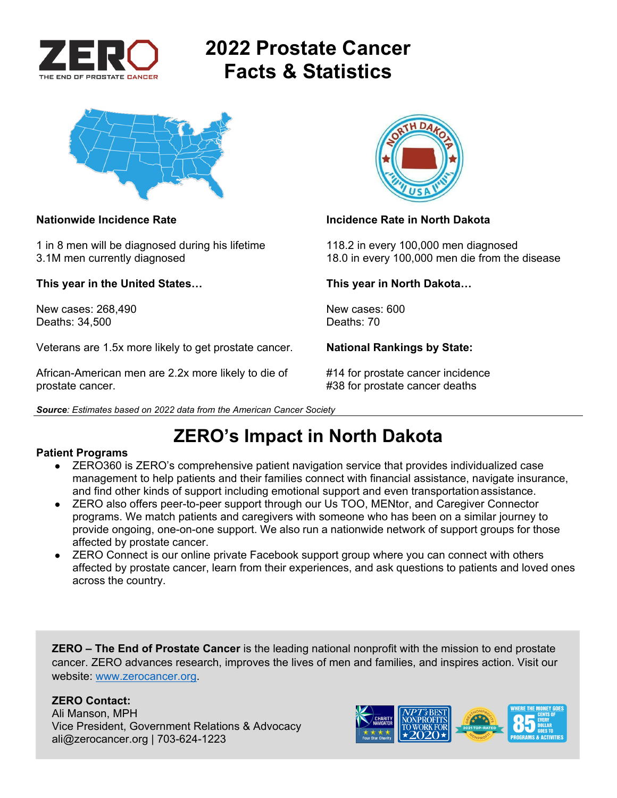

# **2022 Prostate Cancer Facts & Statistics**



1 in 8 men will be diagnosed during his lifetime 118.2 in every 100,000 men diagnosed

**This year in the United States… This year in North Dakota…** 

New cases: 268,490 <br>Deaths: 34.500 **New cases: 600** New cases: 600 Deaths: 34,500

Veterans are 1.5x more likely to get prostate cancer. **National Rankings by State:** 

African-American men are 2.2x more likely to die of #14 for prostate cancer incidence prostate cancer. **All any struck is a set of the set of the set of the set of the set of the set of the set of the set of the set of the set of the set of the set of the set of the set of the set of the set of the set of t** 





### **Nationwide Incidence Rate Incidence Rate in North Dakota**

3.1M men currently diagnosed 18.0 in every 100,000 men die from the disease

*Source: Estimates based on 2022 data from the American Cancer Society* 

## **ZERO's Impact in North Dakota**

### **Patient Programs**

- ZERO360 is ZERO's comprehensive patient navigation service that provides individualized case management to help patients and their families connect with financial assistance, navigate insurance, and find other kinds of support including emotional support and even transportation assistance.
- ZERO also offers peer-to-peer support through our Us TOO, MENtor, and Caregiver Connector programs. We match patients and caregivers with someone who has been on a similar journey to provide ongoing, one-on-one support. We also run a nationwide network of support groups for those affected by prostate cancer.
- ZERO Connect is our online private Facebook support group where you can connect with others affected by prostate cancer, learn from their experiences, and ask questions to patients and loved ones across the country.

**ZERO – The End of Prostate Cancer** is the leading national nonprofit with the mission to end prostate cancer. ZERO advances research, improves the lives of men and families, and inspires action. Visit our website: www.zerocancer.org.

### **ZERO Contact:**

Ali Manson, MPH Vice President, Government Relations & Advocacy ali@zerocancer.org | 703-624-1223